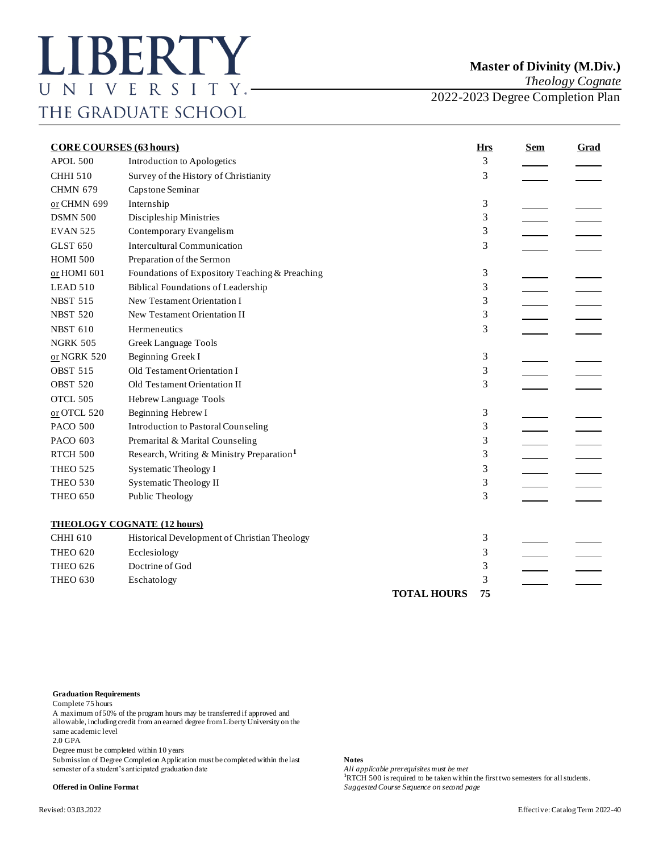*Theology Cognate*

2022-2023 Degree Completion Plan

| <b>CORE COURSES (63 hours)</b> |                                                       | <b>Hrs</b>         | <b>Sem</b> | <b>Grad</b> |  |
|--------------------------------|-------------------------------------------------------|--------------------|------------|-------------|--|
| APOL.500                       | Introduction to Apologetics                           |                    | 3          |             |  |
| <b>CHHI 510</b>                | Survey of the History of Christianity                 |                    | 3          |             |  |
| <b>CHMN 679</b>                | Capstone Seminar                                      |                    |            |             |  |
| or CHMN 699                    | Internship                                            |                    | 3          |             |  |
| <b>DSMN 500</b>                | Discipleship Ministries                               |                    | 3          |             |  |
| <b>EVAN 525</b>                | Contemporary Evangelism                               |                    | 3          |             |  |
| <b>GLST 650</b>                | <b>Intercultural Communication</b>                    |                    | 3          |             |  |
| <b>HOMI 500</b>                | Preparation of the Sermon                             |                    |            |             |  |
| or HOMI 601                    | Foundations of Expository Teaching & Preaching        |                    | 3          |             |  |
| LEAD 510                       | <b>Biblical Foundations of Leadership</b>             |                    | 3          |             |  |
| <b>NBST 515</b>                | New Testament Orientation I                           |                    | 3          |             |  |
| <b>NBST 520</b>                | New Testament Orientation II                          |                    | 3          |             |  |
| <b>NBST 610</b>                | Hermeneutics                                          |                    | 3          |             |  |
| <b>NGRK 505</b>                | Greek Language Tools                                  |                    |            |             |  |
| or NGRK 520                    | Beginning Greek I                                     |                    | 3          |             |  |
| <b>OBST 515</b>                | Old Testament Orientation I                           |                    | 3          |             |  |
| <b>OBST 520</b>                | Old Testament Orientation II                          |                    | 3          |             |  |
| OTCL 505                       | Hebrew Language Tools                                 |                    |            |             |  |
| or OTCL 520                    | Beginning Hebrew I                                    |                    | 3          |             |  |
| <b>PACO 500</b>                | <b>Introduction to Pastoral Counseling</b>            |                    | 3          |             |  |
| PACO 603                       | Premarital & Marital Counseling                       |                    | 3          |             |  |
| <b>RTCH 500</b>                | Research, Writing & Ministry Preparation <sup>1</sup> |                    | 3          |             |  |
| <b>THEO 525</b>                | <b>Systematic Theology I</b>                          |                    | 3          |             |  |
| <b>THEO 530</b>                | <b>Systematic Theology II</b>                         |                    | 3          |             |  |
| <b>THEO 650</b>                | Public Theology                                       |                    | 3          |             |  |
|                                | <b>THEOLOGY COGNATE (12 hours)</b>                    |                    |            |             |  |
| <b>CHHI 610</b>                | Historical Development of Christian Theology          |                    | 3          |             |  |
| <b>THEO 620</b>                | Ecclesiology                                          |                    | 3          |             |  |
| <b>THEO 626</b>                | Doctrine of God                                       |                    | 3          |             |  |
| <b>THEO 630</b>                | Eschatology                                           |                    | 3          |             |  |
|                                |                                                       | <b>TOTAL HOURS</b> | 75         |             |  |

## **Graduation Requirements**

Complete 75 hours

A maximum of 50% of the program hours may be transferred if approved and allowable, including credit from an earned degree from Liberty University on the same academic level

2.0 GPA

Degree must be completed within 10 years

Submission of Degree Completion Application must be completed within the last **Notes** semester of a student's anticipated graduation date

All applicable prerequisites must be met **hand in the first two semesters for all students. <sup>1</sup>RTCH 500** is required to be taken within the first two semesters for all students. **Offered in Online Format** *Suggested Course Sequence on second page*